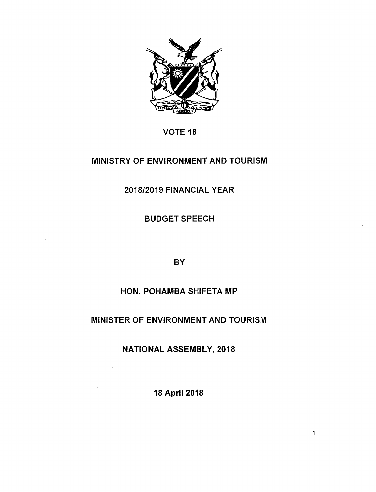

# VOTE 18

# MINISTRY OF ENVIRONMENT AND TOURISM

*2018/2019* FINANCIAL YEAR

BUDGET SPEECH

**BY** 

# HON. POHAMBA SHIFETA MP

# MINISTER OF ENVIRONMENT AND TOURISM

NATIONAL ASSEMBLY, 2018

18April 2018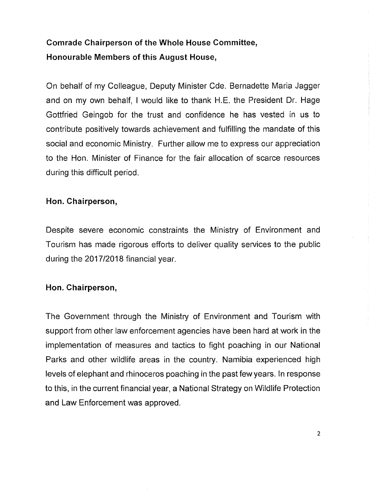# **Comrade Chairperson of the Whole House Committee, Honourable Members of this August House,**

On behalf of my Colleague, Deputy Minister Cde. Bernadette Maria Jagger and on my own behalf, I would like to thank H.E. the President Or. Hage Gottfried Geingob for the trust and confidence he has vested in us to contribute positively towards achievement and fulfilling the mandate of this social and economic Ministry. Further allow me to express our appreciation to the Hon. Minister of Finance for the fair allocation of scarce resources during this difficult period.

## **Hon. Chairperson,**

Despite severe economic constraints the Ministry of Environment and Tourism has made rigorous efforts to deliver quality services to the public during the *2017/2018* financial year.

#### **Hon. Chairperson,**

The Government through the Ministry of Environment and Tourism with support from other law enforcement agencies have been hard at work in the implementation of measures and tactics to fight poaching in our National Parks and other wildlife areas in the country. Namibia experienced high levels of elephant and rhinoceros poaching in the past few years. In response to this, in the current financial year, a National Strategy on Wildlife Protection and Law Enforcement was approved.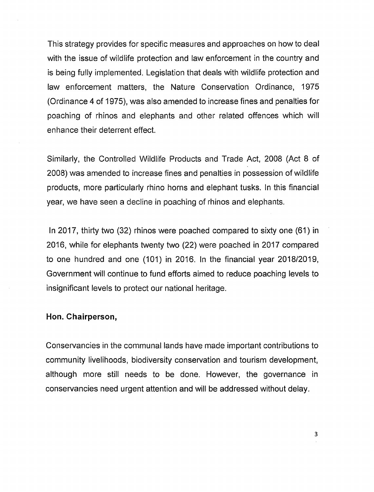This strategy provides for specific measures and approaches on how to deal with the issue of wildlife protection and law enforcement in the country and is being fully implemented. Legislation that deals with wildlife protection and law enforcement matters, the Nature Conservation Ordinance, 1975 (Ordinance 4 of 1975), was also amended to increase fines and penalties for poaching of rhinos and elephants and other related offences which will enhance their deterrent effect.

Similarly, the Controlled Wildlife Products and Trade Act, 2008 (Act 8 of 2008) was amended to increase fines and penalties in possession of wildlife products, more particularly rhino horns and elephant tusks. In this financial year, we have seen a decline in poaching of rhinos and elephants.

In 2017, thirty two (32) rhinos were poached compared to sixty one (61) in 2016, while for elephants twenty two (22) were poached in 2017 compared to one hundred and one (101) in 2016. In the financial year *2018/2019,* Government will continue to fund efforts aimed to reduce poaching levels to insignificant levels to protect our national heritage.

#### **Hon. Chairperson,**

Conservancies in the communal lands have made important contributions to community livelihoods, biodiversity conservation and tourism development, although more still needs to be done. However, the governance in conservancies need urgent attention and will be addressed without delay.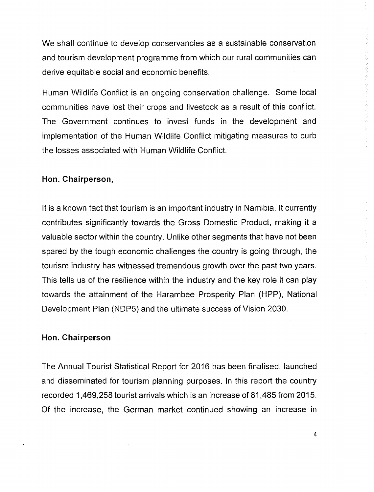We shall continue to develop conservancies as a sustainable conservation and tourism development programme from which our rural communities can derive equitable social and economic benefits.

Human Wildlife Conflict is an ongoing conservation challenge. Some local communities have lost their crops and livestock as a result of this conflict. The Government continues to invest funds in the development and implementation of the Human Wildlife Conflict mitigating measures to curb the losses associated with Human Wildlife Conflict.

### **Hon. Chairperson,**

It is a known fact that tourism is an important industry in Namibia. It currently contributes significantly towards the Gross Domestic Product, making it a valuable sector within the country. Unlike other segments that have not been spared by the tough economic challenges the country is going through, the tourism industry has witnessed tremendous growth over the past two years. This tells us of the resilience within the industry and the key role it can play towards the attainment of the Harambee Prosperity Plan (HPP), National Development Plan (NDP5) and the ultimate success of Vision 2030.

#### **Hon. Chairperson**

The Annual Tourist Statistical Report for 2016 has been finalised, launched and disseminated for tourism planning purposes. In this report the country recorded 1,469,258 tourist arrivals which is an increase of 81,485 from 2015. Of the increase, the German market continued showing an increase in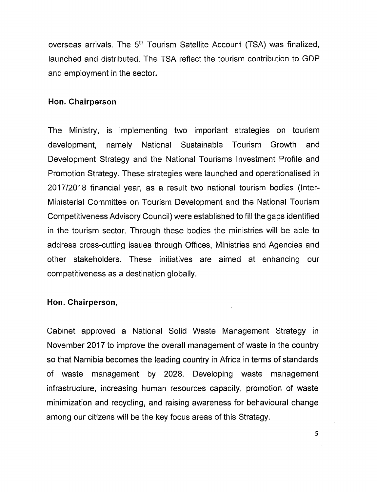overseas arrivals. The 5<sup>th</sup> Tourism Satellite Account (TSA) was finalized, launched and distributed. The TSA reflect the tourism contribution to GDP and employment in the sector.

#### **Hon. Chairperson**

The Ministry, is implementing two important strategies on tourism development, namely National Sustainable Tourism Growth and Development Strategy and the National Tourisms Investment Profile and Promotion Strategy. These strategies were launched and operationalised in *2017/2018* financial year, as a result two national tourism bodies (Inter-Ministerial Committee on Tourism Development and the National Tourism Competitiveness Advisory Council) were established to fill the gaps identified in the tourism sector. Through these bodies the ministries will be able to address cross-cutting issues through Offices, Ministries and Agencies and other stakeholders. These initiatives are aimed at enhancing our competitiveness as a destination globally.

#### **Hon. Chairperson,**

Cabinet approved a National Solid Waste Management Strategy in November 2017 to improve the overall management of waste in the country so that Namibia becomes the leading country in Africa in terms of standards of waste management by 2028. Developing waste management infrastructure, increasing human resources capacity, promotion of waste minimization and recycling, and raising awareness for behavioural change among our citizens will be the key focus areas of this Strategy.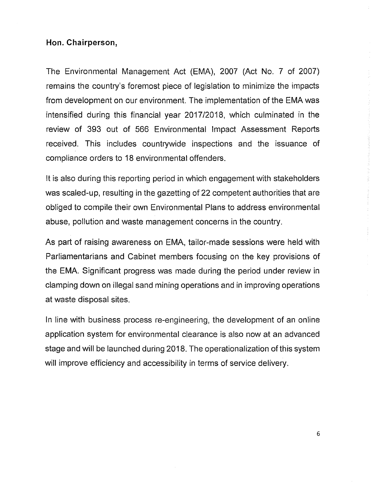### **Hon. Chairperson,**

The Environmental Management Act (EMA), 2007 (Act No. 7 of 2007) remains the country's foremost piece of legislation to minimize the impacts from development on our environment. The implementation of the EMA was intensified during this financial year *2017/2018,* which culminated in the review of 393 out of 566 Environmental Impact Assessment Reports received. This includes countrywide inspections and the issuance of compliance orders to 18 environmental offenders.

It is also during this reporting period in which engagement with stakeholders was scaled-up, resulting in the gazetting of 22 competent authorities that are obliged to compile their own Environmental Plans to address environmental abuse, pollution and waste management concerns in the country.

As part of raising awareness on EMA, tailor-made sessions were held with Parliamentarians and Cabinet members focusing on the key provisions of the EMA. Significant progress was made during the period under review in clamping down on illegal sand mining operations and in improving operations at waste disposal sites.

In line with business process re-engineering, the development of an online application system for environmental clearance is also now at an advanced stage and will be launched during 2018. The operationalization of this system will improve efficiency and accessibility in terms of service delivery.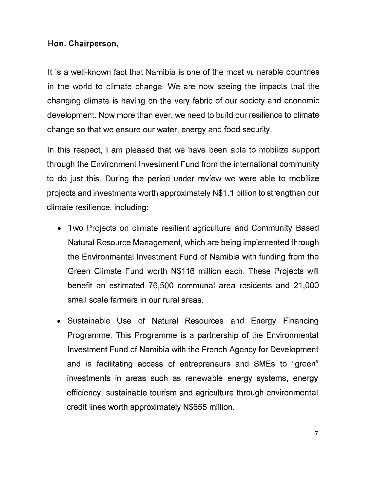#### **Hon. Chairperson,**

It is a well-known fact that Namibia is one of the most vulnerable countries in the world to climate change. We are now seeing the impacts that the changing climate is having on the very fabric of our society and economic development. Now more than ever, we need to build our resilience to climate change so that we ensure our water, energy and food security.

In this respect, I am pleased that we have been able to mobilize support through the Environment Investment Fund from the international community to do just this. During the period under review we were able to mobilize projects and investments worth approximately N\$1.1 billion to strengthen our climate resilience, including:

- Two Projects on climate resilient agriculture and Community Based Natural Resource Management, which are being implemented through the Environmental Investment Fund of Namibia with funding from the Green Climate Fund worth N\$116 million each. These Projects will benefit an estimated 76,500 communal area residents and 21,000 small scale farmers in our rural areas.
- Sustainable Use of Natural Resources and Energy Financing Programme. This Programme is a partnership of the Environmental Investment Fund of Namibia with the French Agency for Development and is facilitating access of entrepreneurs and SMEs to "green" investments in areas such as renewable energy systems, energy efficiency, sustainable tourism and agriculture through environmental credit lines worth approximately N\$655 million.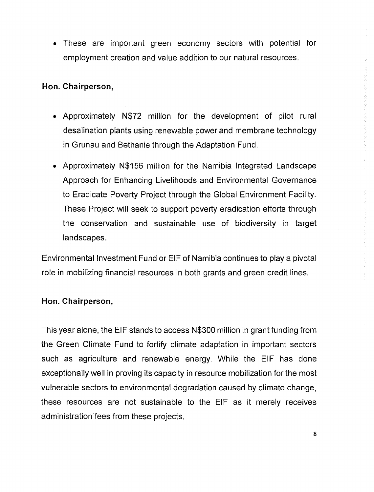• These are important green economy sectors with potential for employment creation and value addition to our natural resources.

## **Hon. Chairperson,**

- Approximately N\$72 million for the development of pilot rural desalination plants using renewable power and membrane technology in Grunau and Bethanie through the Adaptation Fund.
- Approximately N\$1S6 million for the Namibia Integrated Landscape Approach for Enhancing Livelihoods and Environmental Governance to Eradicate Poverty Project through the Global Environment Facility. These Project will seek to support poverty eradication efforts through the conservation and sustainable use of biodiversity in target landscapes.

Environmental Investment Fund or ElF of Namibia continues to play a pivotal role in mobilizing financial resources in both grants and green credit lines.

## **Hon. Chairperson,**

This year alone, the ElF stands to access N\$300 million in grant funding from the Green Climate Fund to fortify climate adaptation in important sectors such as agriculture and renewable energy. While the ElF has done exceptionally well in proving its capacity in resource mobilization for the most vulnerable sectors to environmental degradation caused by climate change, these resources are not sustainable to the ElF as it merely receives administration fees from these projects.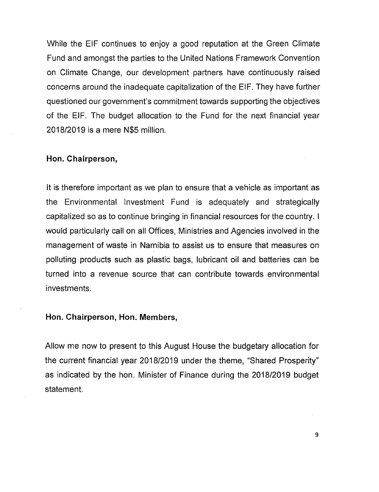While the ElF continues to enjoy a good reputation at the Green Climate Fund and amongst the parties to the United Nations Framework Convention on Climate Change, our development partners have continuously raised concerns around the inadequate capitalization of the ElF. They have further questioned our government's commitment towards supporting the objectives of the ElF. The budget allocation to the Fund for the next financial year 2018/2019 is a mere N\$5 million.

#### **Hon. Chairperson,**

It is therefore important as we plan to ensure that a vehicle as important as the Environmental Investment Fund is adequately and strategically capitalized so as to continue bringing in financial resources for the country. I would particularly call on all Offices, Ministries and Agencies involved in the management of waste in Namibia to assist us to ensure that measures on polluting products such as plastic bags, lubricant oil and batteries can be turned into a revenue source that can contribute towards environmental investments.

#### **Hon. Chairperson, Hon. Members,**

Allow me now to present to this August House the budgetary allocation for the current financial year 2018/2019 under the theme, "Shared Prosperity" as indicated by the hon. Minister of Finance during the 2018/2019 budget statement.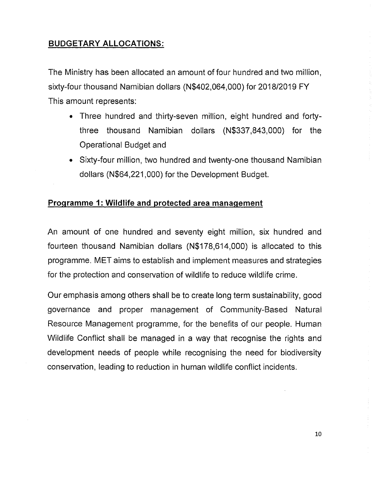# **BUDGETARY ALLOCATIONS:**

The Ministry has been allocated an amount of four hundred and two million, sixty-four thousand Namibian dollars (N\$402,064,000) for 2018/2019 FY This amount represents:

- Three hundred and thirty-seven million, eight hundred and fortythree thousand Namibian dollars (N\$337,843,OOO) for the Operational Budget and
- Sixty-four million, two hundred and twenty-one thousand Namibian dollars (N\$64,221,000) for the Development Budget.

## **Programme 1: Wildlife and protected area management**

An amount of one hundred and seventy eight million, six hundred and fourteen thousand Namibian dollars (N\$178,614,000) is allocated to this programme. MET aims to establish and implement measures and strategies for the protection and conservation of wildlife to reduce wildlife crime.

Our emphasis among others shall be to create long term sustainability, good governance and proper management of Community-Based Natural Resource Management programme, for the benefits of our people. Human Wildlife Conflict shall be managed in a way that recognise the rights and development needs of people while recognising the need for biodiversity conservation, leading to reduction in human wildlife conflict incidents.

à.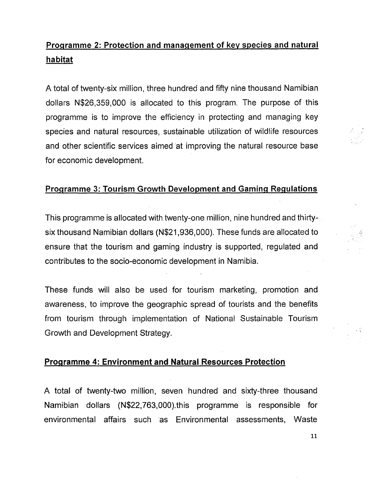# Programme 2: Protection and management of key species and natural habitat

A total of twenty-six million, three hundred and fifty nine thousand Namibian dollars N\$26,359,000 is allocated to this program. The purpose of this programme is to improve the efficiency in protecting and managing key species and natural resources, sustainable utilization of wildlife resources and other scientific services aimed at improving the natural resource base for economic development.

# Programme 3: Tourism Growth Development and Gaming Regulations

This programme is allocated with twenty-one million, nine hundred and thirtysix thousand Namibian dollars (N\$21,936,000). These funds are allocated to ensure that the tourism and gaming industry is supported, regulated and contributes to the socio-economic development in Namibia.

These funds will also be used for tourism marketing, promotion and awareness, to improve the geographic spread of tourists and the benefits from tourism through implementation of National Sustainable Tourism Growth and Development Strategy.

### Programme 4: Environment and Natural Resources Protection

A total of twenty-two million, seven hundred and sixty-three thousand Namibian dollars (N\$22,763,000).this programme is responsible for environmental affairs such as Environmental assessments, Waste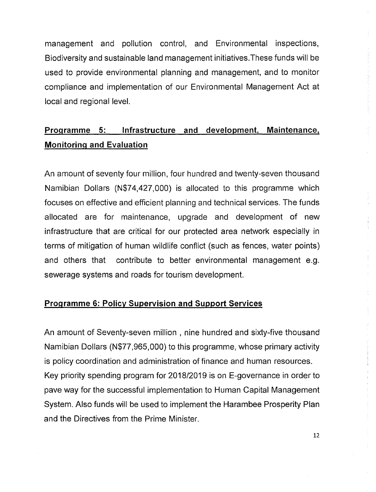management and pollution control, and Environmental inspections, Biodiversity and sustainable land management initiatives.These funds will be used to provide environmental planning and management, and to monitor compliance and implementation of our Environmental Management Act at local and regional level.

# **Programme 5: Infrastructure and development, Maintenance, Monitoring and Evaluation**

An amount of seventy four million, four hundred and twenty-seven thousand Namibian Dollars (N\$74,427,000) is allocated to this programme which focuses on effective and efficient planning and technical services. The funds allocated are for maintenance, upgrade and development of new infrastructure that are critical for our protected area network especially in terms of mitigation of human wildlife conflict (such as fences, water points) and others that contribute to better environmental management e.g. sewerage systems and roads for tourism development.

## **Programme 6: Policy Supervision and Support Services**

An amount of Seventy-seven million, nine hundred and sixty-five thousand Namibian Dollars (N\$77,965,000) to this programme, whose primary activity is policy coordination and administration of finance and human resources. Key priority spending program for *2018/2019* is on E-governance in order to pave way for the successful implementation to Human Capital Management System. Also funds will be used to implement the Harambee Prosperity Plan and the Directives from the Prime Minister.